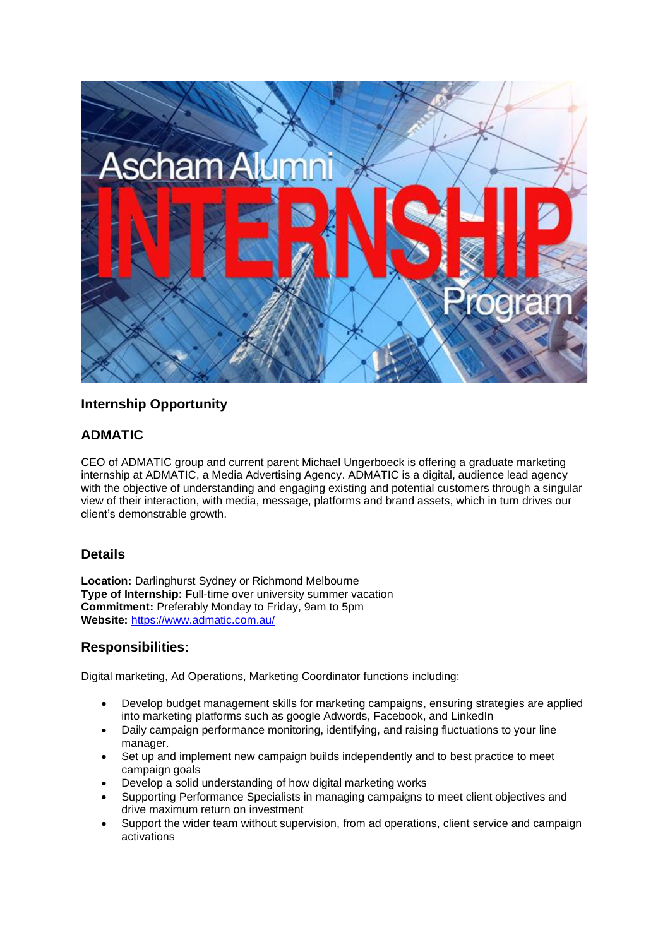

# **Internship Opportunity**

## **ADMATIC**

CEO of ADMATIC group and current parent Michael Ungerboeck is offering a graduate marketing internship at ADMATIC, a Media Advertising Agency. ADMATIC is a digital, audience lead agency with the objective of understanding and engaging existing and potential customers through a singular view of their interaction, with media, message, platforms and brand assets, which in turn drives our client's demonstrable growth.

## **Details**

**Location:** Darlinghurst Sydney or Richmond Melbourne **Type of Internship:** Full-time over university summer vacation **Commitment:** Preferably Monday to Friday, 9am to 5pm **Website:** <https://www.admatic.com.au/>

#### **Responsibilities:**

Digital marketing, Ad Operations, Marketing Coordinator functions including:

- Develop budget management skills for marketing campaigns, ensuring strategies are applied into marketing platforms such as google Adwords, Facebook, and LinkedIn
- Daily campaign performance monitoring, identifying, and raising fluctuations to your line manager.
- Set up and implement new campaign builds independently and to best practice to meet campaign goals
- Develop a solid understanding of how digital marketing works
- Supporting Performance Specialists in managing campaigns to meet client objectives and drive maximum return on investment
- Support the wider team without supervision, from ad operations, client service and campaign activations